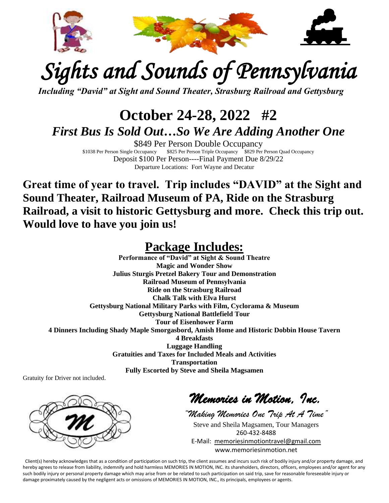

# *Sights and Sounds of Pennsylvania*

*Including "David" at Sight and Sound Theater, Strasburg Railroad and Gettysburg*

## **October 24-28, 2022 #2** *First Bus Is Sold Out…So We Are Adding Another One*

\$849 Per Person Double Occupancy<br>\$1038 Per Person Single Occupancy<br>\$825 Per Person Triple Occupancy<br>\$829 Per \$825 Per Person Triple Occupancy \$829 Per Person Quad Occupancy Deposit \$100 Per Person----Final Payment Due 8/29/22 Departure Locations: Fort Wayne and Decatur

**Great time of year to travel. Trip includes "DAVID" at the Sight and Sound Theater, Railroad Museum of PA, Ride on the Strasburg Railroad, a visit to historic Gettysburg and more. Check this trip out. Would love to have you join us!**

### **Package Includes:**

**Performance of "David" at Sight & Sound Theatre Magic and Wonder Show Julius Sturgis Pretzel Bakery Tour and Demonstration Railroad Museum of Pennsylvania Ride on the Strasburg Railroad Chalk Talk with Elva Hurst Gettysburg National Military Parks with Film, Cyclorama & Museum Gettysburg National Battlefield Tour Tour of Eisenhower Farm 4 Dinners Including Shady Maple Smorgasbord, Amish Home and Historic Dobbin House Tavern 4 Breakfasts Luggage Handling Gratuities and Taxes for Included Meals and Activities Transportation Fully Escorted by Steve and Sheila Magsamen**

Gratuity for Driver not included.



*Memories in Motion, Inc.* 

*"Making Memories One Trip At A Time"* Steve and Sheila Magsamen, Tour Managers 260-432-8488 E-Mail: [memoriesinmotiontravel@gmail.com](mailto:memoriesinmotiontravel@gmail.com) www.memoriesinmotion.net

Client(s) hereby acknowledges that as a condition of participation on such trip, the client assumes and incurs such risk of bodily injury and/or property damage, and hereby agrees to release from liability, indemnify and hold harmless MEMORIES IN MOTION, INC. its shareholders, directors, officers, employees and/or agent for any such bodily injury or personal property damage which may arise from or be related to such participation on said trip, save for reasonable foreseeable injury or damage proximately caused by the negligent acts or omissions of MEMORIES IN MOTION, INC., its principals, employees or agents.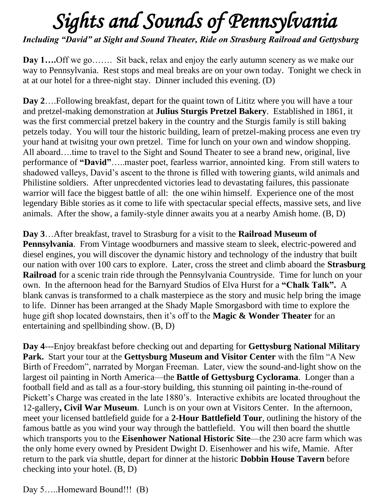# *Sights and Sounds of Pennsylvania*

*Including "David" at Sight and Sound Theater, Ride on Strasburg Railroad and Gettysburg*

**Day 1....**Off we go……. Sit back, relax and enjoy the early autumn scenery as we make our way to Pennsylvania. Rest stops and meal breaks are on your own today. Tonight we check in at at our hotel for a three-night stay. Dinner included this evening. (D)

**Day 2**….Following breakfast, depart for the quaint town of Lititz where you will have a tour and pretzel-making demonstration at **Julius Sturgis Pretzel Bakery**. Established in 1861, it was the first commercial pretzel bakery in the country and the Sturgis family is still baking petzels today. You will tour the historic building, learn of pretzel-making process ane even try your hand at twisitng your own pretzel. Time for lunch on your own and window shopping. All aboard….time to travel to the Sight and Sound Theater to see a brand new, original, live performance of **"David"**…..master poet, fearless warrior, annointed king. From still waters to shadowed valleys, David's ascent to the throne is filled with towering giants, wild animals and Philistine soldiers. After unprecdented victories lead to devastating failures, this passionate warrior will face the biggest battle of all: the one wihin himself. Experience one of the most legendary Bible stories as it come to life with spectacular special effects, massive sets, and live animals. After the show, a family-style dinner awaits you at a nearby Amish home. (B, D)

**Day 3**…After breakfast, travel to Strasburg for a visit to the **Railroad Museum of Pennsylvania**. From Vintage woodburners and massive steam to sleek, electric-powered and diesel engines, you will discover the dynamic history and technology of the industry that built our nation with over 100 cars to explore. Later, cross the street and climb aboard the **Strasburg Railroad** for a scenic train ride through the Pennsylvania Countryside. Time for lunch on your own. In the afternoon head for the Barnyard Studios of Elva Hurst for a **"Chalk Talk".** A blank canvas is transformed to a chalk masterpiece as the story and music help bring the image to life. Dinner has been arranged at the Shady Maple Smorgasbord with time to explore the huge gift shop located downstairs, then it's off to the **Magic & Wonder Theater** for an entertaining and spellbinding show. (B, D)

**Day 4**---Enjoy breakfast before checking out and departing for **Gettysburg National Military Park.** Start your tour at the **Gettysburg Museum and Visitor Center** with the film "A New Birth of Freedom", narrated by Morgan Freeman. Later, view the sound-and-light show on the largest oil painting in North America—the **Battle of Gettysburg Cyclorama**. Longer than a football field and as tall as a four-story building, this stunning oil painting in-the-round of Pickett's Charge was created in the late 1880's. Interactive exhibits are located throughout the 12-gallery**, Civil War Museum**. Lunch is on your own at Visitors Center. In the afternoon, meet your licensed battlefield guide for a **2-Hour Battlefield Tour**, outlining the history of the famous battle as you wind your way through the battlefield. You will then board the shuttle which transports you to the **Eisenhower National Historic Site**—the 230 acre farm which was the only home every owned by President Dwight D. Eisenhower and his wife, Mamie. After return to the park via shuttle, depart for dinner at the historic **Dobbin House Tavern** before checking into your hotel. (B, D)

Day 5…..Homeward Bound!!! (B)